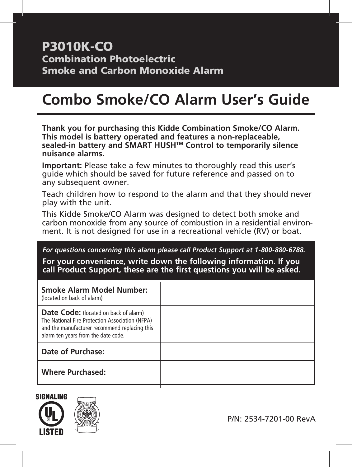# P3010K-CO Combination Photoelectric Smoke and Carbon Monoxide Alarm

# **Combo Smoke/CO Alarm User's Guide**

**Thank you for purchasing this Kidde Combination Smoke/CO Alarm. This model is battery operated and features a non-replaceable, sealed-in battery and SMART HUSHTM Control to temporarily silence nuisance alarms.**

**Important:** Please take a few minutes to thoroughly read this user's guide which should be saved for future reference and passed on to any subsequent owner.

Teach children how to respond to the alarm and that they should never play with the unit.

This Kidde Smoke/CO Alarm was designed to detect both smoke and carbon monoxide from any source of combustion in a residential environment. It is not designed for use in a recreational vehicle (RV) or boat.

#### *For questions concerning this alarm please call Product Support at 1-800-880-6788.*

**For your convenience, write down the following information. If you call Product Support, these are the first questions you will be asked.**

| Smoke Alarm Model Number:<br>(located on back of alarm)                                                                                                                                 |  |
|-----------------------------------------------------------------------------------------------------------------------------------------------------------------------------------------|--|
| <b>Date Code:</b> (located on back of alarm)<br>The National Fire Protection Association (NFPA)<br>and the manufacturer recommend replacing this<br>alarm ten years from the date code. |  |
| Date of Purchase:                                                                                                                                                                       |  |
| <b>Where Purchased:</b>                                                                                                                                                                 |  |



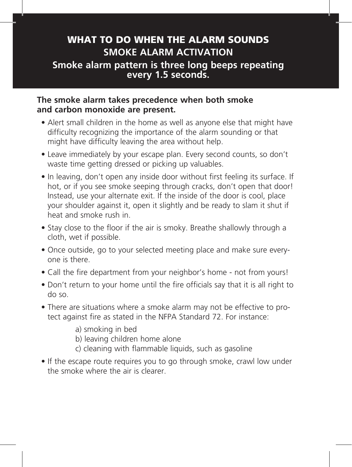## WHAT TO DO WHEN THE ALARM SOUNDS **SMOKE ALARM ACTIVATION Smoke alarm pattern is three long beeps repeating every 1.5 seconds.**

#### **The smoke alarm takes precedence when both smoke and carbon monoxide are present.**

- Alert small children in the home as well as anyone else that might have difficulty recognizing the importance of the alarm sounding or that might have difficulty leaving the area without help.
- Leave immediately by your escape plan. Every second counts, so don't waste time getting dressed or picking up valuables.
- In leaving, don't open any inside door without first feeling its surface. If hot, or if you see smoke seeping through cracks, don't open that door! Instead, use your alternate exit. If the inside of the door is cool, place your shoulder against it, open it slightly and be ready to slam it shut if heat and smoke rush in.
- Stay close to the floor if the air is smoky. Breathe shallowly through a cloth, wet if possible.
- Once outside, go to your selected meeting place and make sure everyone is there.
- Call the fire department from your neighbor's home not from yours!
- Don't return to your home until the fire officials say that it is all right to do so.
- There are situations where a smoke alarm may not be effective to protect against fire as stated in the NFPA Standard 72. For instance:

a) smoking in bed

b) leaving children home alone

- c) cleaning with flammable liquids, such as gasoline
- If the escape route requires you to go through smoke, crawl low under the smoke where the air is clearer.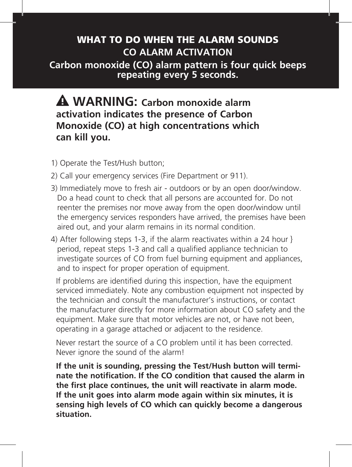## WHAT TO DO WHEN THE ALARM SOUNDS **CO ALARM ACTIVATION**

**Carbon monoxide (CO) alarm pattern is four quick beeps repeating every 5 seconds.**

## **WARNING: Carbon monoxide alarm activation indicates the presence of Carbon Monoxide (CO) at high concentrations which can kill you.**

- 1) Operate the Test/Hush button;
- 2) Call your emergency services (Fire Department or 911).
- 3) Immediately move to fresh air outdoors or by an open door/window. Do a head count to check that all persons are accounted for. Do not reenter the premises nor move away from the open door/window until the emergency services responders have arrived, the premises have been aired out, and your alarm remains in its normal condition.
- 4) After following steps 1-3, if the alarm reactivates within a 24 hour } period, repeat steps 1-3 and call a qualified appliance technician to investigate sources of CO from fuel burning equipment and appliances, and to inspect for proper operation of equipment.

If problems are identified during this inspection, have the equipment serviced immediately. Note any combustion equipment not inspected by the technician and consult the manufacturer's instructions, or contact the manufacturer directly for more information about CO safety and the equipment. Make sure that motor vehicles are not, or have not been, operating in a garage attached or adjacent to the residence.

Never restart the source of a CO problem until it has been corrected. Never ignore the sound of the alarm!

**If the unit is sounding, pressing the Test/Hush button will terminate the notification. If the CO condition that caused the alarm in the first place continues, the unit will reactivate in alarm mode. If the unit goes into alarm mode again within six minutes, it is sensing high levels of CO which can quickly become a dangerous situation.**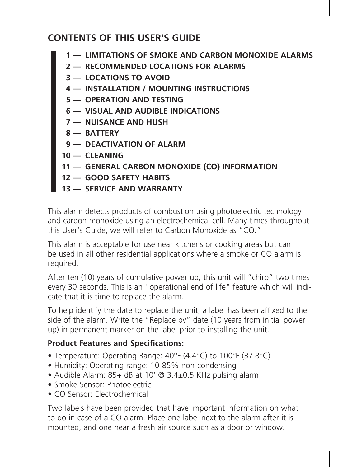### **CONTENTS OF THIS USER'S GUIDE**

- **1 LIMITATIONS OF SMOKE AND CARBON MONOXIDE ALARMS**
- **2 RECOMMENDED LOCATIONS FOR ALARMS**
- **3 LOCATIONS TO AVOID**
- **4 INSTALLATION / MOUNTING INSTRUCTIONS**
- **5 OPERATION AND TESTING**
- **6 — VISUAL AND AUDIBLE INDICATIONS**
- **7 NUISANCE AND HUSH**
- **8 BATTERY**
- **9 DEACTIVATION OF ALARM**
- **10 CLEANING**
- **11 GENERAL CARBON MONOXIDE (CO) INFORMATION**
- **12 GOOD SAFETY HABITS**
- **13 SERVICE AND WARRANTY**

This alarm detects products of combustion using photoelectric technology and carbon monoxide using an electrochemical cell. Many times throughout this User's Guide, we will refer to Carbon Monoxide as "CO."

This alarm is acceptable for use near kitchens or cooking areas but can be used in all other residential applications where a smoke or CO alarm is required.

After ten (10) years of cumulative power up, this unit will "chirp" two times every 30 seconds. This is an "operational end of life" feature which will indicate that it is time to replace the alarm.

To help identify the date to replace the unit, a label has been affixed to the side of the alarm. Write the "Replace by" date (10 years from initial power up) in permanent marker on the label prior to installing the unit.

#### **Product Features and Specifications:**

- Temperature: Operating Range: 40°F (4.4°C) to 100°F (37.8°C)
- Humidity: Operating range: 10-85% non-condensing
- Audible Alarm: 85+ dB at 10' @ 3.4±0.5 KHz pulsing alarm
- Smoke Sensor: Photoelectric
- CO Sensor: Electrochemical

Two labels have been provided that have important information on what to do in case of a CO alarm. Place one label next to the alarm after it is mounted, and one near a fresh air source such as a door or window.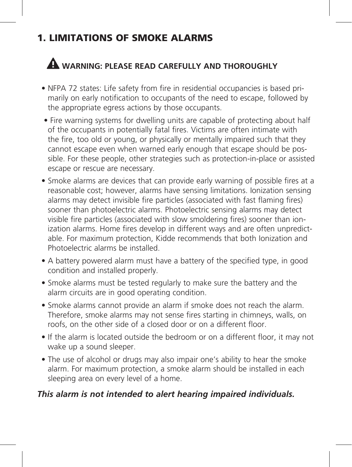# 1. LIMITATIONS OF SMOKE ALARMS

# **WARNING: PLEASE READ CAREFULLY AND THOROUGHLY**

- NFPA 72 states: Life safety from fire in residential occupancies is based primarily on early notification to occupants of the need to escape, followed by the appropriate egress actions by those occupants.
	- Fire warning systems for dwelling units are capable of protecting about half of the occupants in potentially fatal fires. Victims are often intimate with the fire, too old or young, or physically or mentally impaired such that they cannot escape even when warned early enough that escape should be possible. For these people, other strategies such as protection-in-place or assisted escape or rescue are necessary.
- Smoke alarms are devices that can provide early warning of possible fires at a reasonable cost; however, alarms have sensing limitations. Ionization sensing alarms may detect invisible fire particles (associated with fast flaming fires) sooner than photoelectric alarms. Photoelectric sensing alarms may detect visible fire particles (associated with slow smoldering fires) sooner than ionization alarms. Home fires develop in different ways and are often unpredictable. For maximum protection, Kidde recommends that both Ionization and Photoelectric alarms be installed.
- A battery powered alarm must have a battery of the specified type, in good condition and installed properly.
- Smoke alarms must be tested regularly to make sure the battery and the alarm circuits are in good operating condition.
- Smoke alarms cannot provide an alarm if smoke does not reach the alarm. Therefore, smoke alarms may not sense fires starting in chimneys, walls, on roofs, on the other side of a closed door or on a different floor.
- If the alarm is located outside the bedroom or on a different floor, it may not wake up a sound sleeper.
- The use of alcohol or drugs may also impair one's ability to hear the smoke alarm. For maximum protection, a smoke alarm should be installed in each sleeping area on every level of a home.

#### *This alarm is not intended to alert hearing impaired individuals.*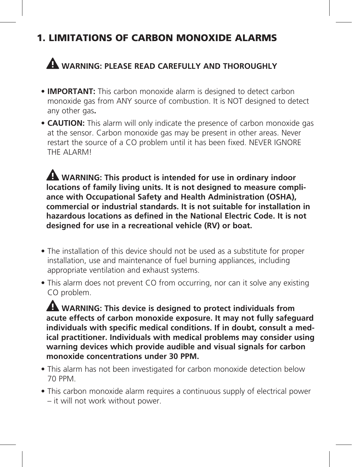# 1. LIMITATIONS OF CARBON MONOXIDE ALARMS

# **WARNING: PLEASE READ CAREFULLY AND THOROUGHLY**

- **IMPORTANT:** This carbon monoxide alarm is designed to detect carbon monoxide gas from ANY source of combustion. It is NOT designed to detect any other gas**.**
- **CAUTION:** This alarm will only indicate the presence of carbon monoxide gas at the sensor. Carbon monoxide gas may be present in other areas. Never restart the source of a CO problem until it has been fixed. NEVER IGNORE THE ALARMI

 **WARNING: This product is intended for use in ordinary indoor locations of family living units. It is not designed to measure compliance with Occupational Safety and Health Administration (OSHA), commercial or industrial standards. It is not suitable for installation in hazardous locations as defined in the National Electric Code. It is not designed for use in a recreational vehicle (RV) or boat.**

- The installation of this device should not be used as a substitute for proper installation, use and maintenance of fuel burning appliances, including appropriate ventilation and exhaust systems.
- This alarm does not prevent CO from occurring, nor can it solve any existing CO problem.

 **WARNING: This device is designed to protect individuals from acute effects of carbon monoxide exposure. It may not fully safeguard individuals with specific medical conditions. If in doubt, consult a medical practitioner. Individuals with medical problems may consider using warning devices which provide audible and visual signals for carbon monoxide concentrations under 30 PPM.**

- This alarm has not been investigated for carbon monoxide detection below 70 PPM.
- This carbon monoxide alarm requires a continuous supply of electrical power – it will not work without power.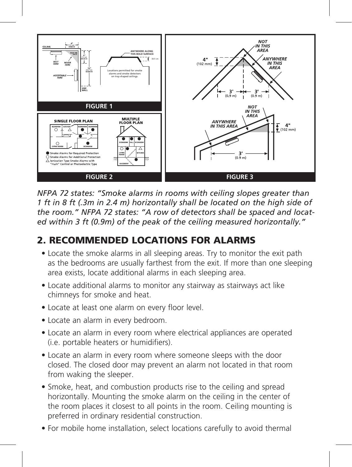

*NFPA 72 states: "Smoke alarms in rooms with ceiling slopes greater than 1 ft in 8 ft (.3m in 2.4 m) horizontally shall be located on the high side of the room." NFPA 72 states: "A row of detectors shall be spaced and located within 3 ft (0.9m) of the peak of the ceiling measured horizontally."*

# 2. RECOMMENDED LOCATIONS FOR ALARMS

- Locate the smoke alarms in all sleeping areas. Try to monitor the exit path as the bedrooms are usually farthest from the exit. If more than one sleeping area exists, locate additional alarms in each sleeping area.
- Locate additional alarms to monitor any stairway as stairways act like chimneys for smoke and heat.
- Locate at least one alarm on every floor level.
- Locate an alarm in every bedroom.
- Locate an alarm in every room where electrical appliances are operated (i.e. portable heaters or humidifiers).
- Locate an alarm in every room where someone sleeps with the door closed. The closed door may prevent an alarm not located in that room from waking the sleeper.
- Smoke, heat, and combustion products rise to the ceiling and spread horizontally. Mounting the smoke alarm on the ceiling in the center of the room places it closest to all points in the room. Ceiling mounting is preferred in ordinary residential construction.
- For mobile home installation, select locations carefully to avoid thermal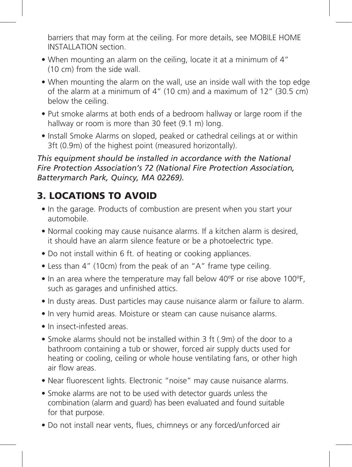barriers that may form at the ceiling. For more details, see MOBILE HOME INSTALLATION section.

- When mounting an alarm on the ceiling, locate it at a minimum of 4" (10 cm) from the side wall.
- When mounting the alarm on the wall, use an inside wall with the top edge of the alarm at a minimum of 4" (10 cm) and a maximum of 12" (30.5 cm) below the ceiling.
- Put smoke alarms at both ends of a bedroom hallway or large room if the hallway or room is more than 30 feet (9.1 m) long.
- Install Smoke Alarms on sloped, peaked or cathedral ceilings at or within 3ft (0.9m) of the highest point (measured horizontally).

*This equipment should be installed in accordance with the National Fire Protection Association's 72 (National Fire Protection Association, Batterymarch Park, Quincy, MA 02269).*

# 3. LOCATIONS TO AVOID

- In the garage. Products of combustion are present when you start your automobile.
- Normal cooking may cause nuisance alarms. If a kitchen alarm is desired, it should have an alarm silence feature or be a photoelectric type.
- Do not install within 6 ft. of heating or cooking appliances.
- Less than 4" (10cm) from the peak of an "A" frame type ceiling.
- In an area where the temperature may fall below 40ºF or rise above 100ºF, such as garages and unfinished attics.
- In dusty areas. Dust particles may cause nuisance alarm or failure to alarm.
- In very humid areas. Moisture or steam can cause nuisance alarms.
- In insect-infested areas.
- Smoke alarms should not be installed within 3 ft (.9m) of the door to a bathroom containing a tub or shower, forced air supply ducts used for heating or cooling, ceiling or whole house ventilating fans, or other high air flow areas.
- Near fluorescent lights. Electronic "noise" may cause nuisance alarms.
- Smoke alarms are not to be used with detector guards unless the combination (alarm and guard) has been evaluated and found suitable for that purpose.
- Do not install near vents, flues, chimneys or any forced/unforced air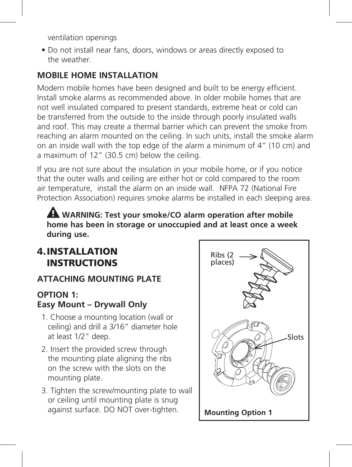ventilation openings

• Do not install near fans, doors, windows or areas directly exposed to the weather.

### **MOBILE HOME INSTALLATION**

Modern mobile homes have been designed and built to be energy efficient. Install smoke alarms as recommended above. In older mobile homes that are not well insulated compared to present standards, extreme heat or cold can be transferred from the outside to the inside through poorly insulated walls and roof. This may create a thermal barrier which can prevent the smoke from reaching an alarm mounted on the ceiling. In such units, install the smoke alarm on an inside wall with the top edge of the alarm a minimum of 4" (10 cm) and a maximum of 12" (30.5 cm) below the ceiling.

If you are not sure about the insulation in your mobile home, or if you notice that the outer walls and ceiling are either hot or cold compared to the room air temperature, install the alarm on an inside wall. NFPA 72 (National Fire Protection Association) requires smoke alarms be installed in each sleeping area.

 **WARNING: Test your smoke/CO alarm operation after mobile home has been in storage or unoccupied and at least once a week during use.** 

### 4.INSTALLATION INSTRUCTIONS

#### **ATTACHING MOUNTING PLATE**

#### **OPTION 1: Easy Mount – Drywall Only**

- 1. Choose a mounting location (wall or ceiling) and drill a 3/16" diameter hole at least 1/2" deep.
- 2. Insert the provided screw through the mounting plate aligning the ribs on the screw with the slots on the mounting plate.
- 3. Tighten the screw/mounting plate to wall or ceiling until mounting plate is snug against surface. DO NOT over-tighten.

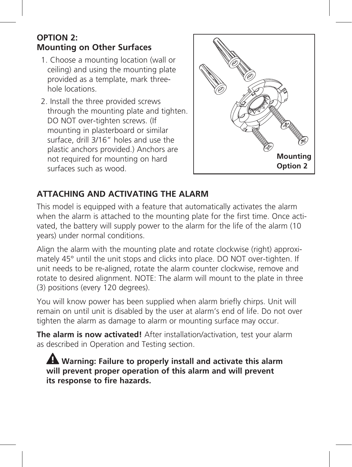#### **OPTION 2: Mounting on Other Surfaces**

- 1. Choose a mounting location (wall or ceiling) and using the mounting plate provided as a template, mark threehole locations.
- 2. Install the three provided screws through the mounting plate and tighten. DO NOT over-tighten screws. (If mounting in plasterboard or similar surface, drill 3/16" holes and use the plastic anchors provided.) Anchors are not required for mounting on hard surfaces such as wood.



#### **ATTACHING AND ACTIVATING THE ALARM**

This model is equipped with a feature that automatically activates the alarm when the alarm is attached to the mounting plate for the first time. Once activated, the battery will supply power to the alarm for the life of the alarm (10 years) under normal conditions.

Align the alarm with the mounting plate and rotate clockwise (right) approximately 45° until the unit stops and clicks into place. DO NOT over-tighten. If unit needs to be re-aligned, rotate the alarm counter clockwise, remove and rotate to desired alignment. NOTE: The alarm will mount to the plate in three (3) positions (every 120 degrees).

You will know power has been supplied when alarm briefly chirps. Unit will remain on until unit is disabled by the user at alarm's end of life. Do not over tighten the alarm as damage to alarm or mounting surface may occur.

**The alarm is now activated!** After installation/activation, test your alarm as described in Operation and Testing section.

 **Warning: Failure to properly install and activate this alarm will prevent proper operation of this alarm and will prevent its response to fire hazards.**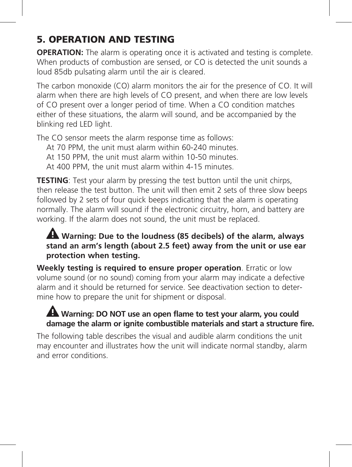# 5. OPERATION AND TESTING

**OPERATION:** The alarm is operating once it is activated and testing is complete. When products of combustion are sensed, or CO is detected the unit sounds a loud 85db pulsating alarm until the air is cleared.

The carbon monoxide (CO) alarm monitors the air for the presence of CO. It will alarm when there are high levels of CO present, and when there are low levels of CO present over a longer period of time. When a CO condition matches either of these situations, the alarm will sound, and be accompanied by the blinking red LED light.

The CO sensor meets the alarm response time as follows:

At 70 PPM, the unit must alarm within 60-240 minutes.

At 150 PPM, the unit must alarm within 10-50 minutes.

At 400 PPM, the unit must alarm within 4-15 minutes.

**TESTING**: Test your alarm by pressing the test button until the unit chirps, then release the test button. The unit will then emit 2 sets of three slow beeps followed by 2 sets of four quick beeps indicating that the alarm is operating normally. The alarm will sound if the electronic circuitry, horn, and battery are working. If the alarm does not sound, the unit must be replaced.

#### **Warning: Due to the loudness (85 decibels) of the alarm, always stand an arm's length (about 2.5 feet) away from the unit or use ear protection when testing.**

**Weekly testing is required to ensure proper operation**. Erratic or low volume sound (or no sound) coming from your alarm may indicate a defective alarm and it should be returned for service. See deactivation section to determine how to prepare the unit for shipment or disposal.

### **Warning: DO NOT use an open flame to test your alarm, you could damage the alarm or ignite combustible materials and start a structure fire.**

The following table describes the visual and audible alarm conditions the unit may encounter and illustrates how the unit will indicate normal standby, alarm and error conditions.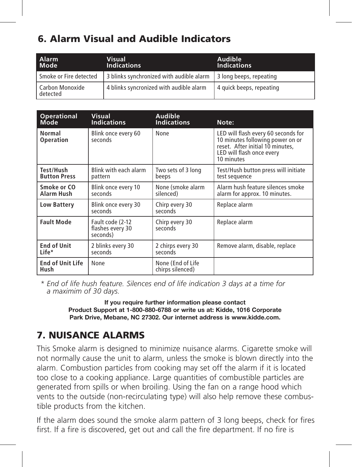# 6. Alarm Visual and Audible Indicators

| Alarm<br>Mode               | <b>Visual</b><br><b>Indications</b>                                | Audible<br><b>Indications</b> |
|-----------------------------|--------------------------------------------------------------------|-------------------------------|
| Smoke or Fire detected      | 3 blinks synchronized with audible alarm   3 long beeps, repeating |                               |
| Carbon Monoxide<br>detected | 4 blinks syncronized with audible alarm                            | 4 quick beeps, repeating      |

| Operational                     | Visual                                           | Audible                               | Note:                                                                                                                                                  |
|---------------------------------|--------------------------------------------------|---------------------------------------|--------------------------------------------------------------------------------------------------------------------------------------------------------|
| <b>Mode</b>                     | <b>Indications</b>                               | <b>Indications</b>                    |                                                                                                                                                        |
| Normal<br>Operation             | Blink once every 60<br>seconds                   | None                                  | LED will flash every 60 seconds for<br>10 minutes following power on or<br>reset. After initial 10 minutes.<br>LED will flash once every<br>10 minutes |
| Test/Hush                       | Blink with each alarm                            | Two sets of 3 long                    | Test/Hush button press will initiate                                                                                                                   |
| <b>Button Press</b>             | pattern                                          | beeps                                 | test sequence                                                                                                                                          |
| Smoke or CO                     | Blink once every 10                              | None (smoke alarm                     | Alarm hush feature silences smoke                                                                                                                      |
| Alarm Hush                      | seconds                                          | silenced)                             | alarm for approx. 10 minutes.                                                                                                                          |
| Low Battery                     | Blink once every 30<br>seconds                   | Chirp every 30<br>seconds             | Replace alarm                                                                                                                                          |
| <b>Fault Mode</b>               | Fault code (2-12<br>flashes every 30<br>seconds) | Chirp every 30<br>seconds             | Replace alarm                                                                                                                                          |
| <b>End of Unit</b>              | 2 blinks every 30                                | 2 chirps every 30                     | Remove alarm, disable, replace                                                                                                                         |
| Life*                           | seconds                                          | seconds                               |                                                                                                                                                        |
| <b>End of Unit Life</b><br>Hush | None                                             | None (End of Life<br>chirps silenced) |                                                                                                                                                        |

*\* End of life hush feature. Silences end of life indication 3 days at a time for a maximim of 30 days.*

> **If you require further information please contact Product Support at 1-800-880-6788 or write us at: Kidde, 1016 Corporate Park Drive, Mebane, NC 27302. Our internet address is www.kidde.com.**

# 7. NUISANCE ALARMS

This Smoke alarm is designed to minimize nuisance alarms. Cigarette smoke will not normally cause the unit to alarm, unless the smoke is blown directly into the alarm. Combustion particles from cooking may set off the alarm if it is located too close to a cooking appliance. Large quantities of combustible particles are generated from spills or when broiling. Using the fan on a range hood which vents to the outside (non-recirculating type) will also help remove these combustible products from the kitchen.

If the alarm does sound the smoke alarm pattern of 3 long beeps, check for fires first. If a fire is discovered, get out and call the fire department. If no fire is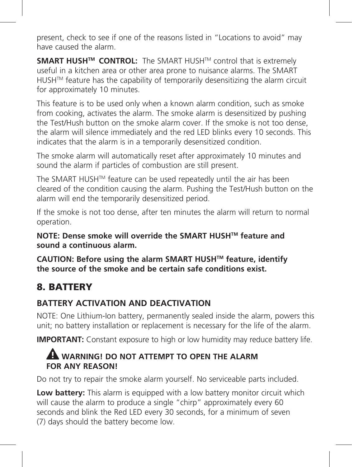present, check to see if one of the reasons listed in "Locations to avoid" may have caused the alarm.

**SMART HUSH™ CONTROL:** The SMART HUSH™ control that is extremely useful in a kitchen area or other area prone to nuisance alarms. The SMART HUSH™ feature has the capability of temporarily desensitizing the alarm circuit for approximately 10 minutes.

This feature is to be used only when a known alarm condition, such as smoke from cooking, activates the alarm. The smoke alarm is desensitized by pushing the Test/Hush button on the smoke alarm cover. If the smoke is not too dense, the alarm will silence immediately and the red LED blinks every 10 seconds. This indicates that the alarm is in a temporarily desensitized condition.

The smoke alarm will automatically reset after approximately 10 minutes and sound the alarm if particles of combustion are still present.

The SMART HUSH™ feature can be used repeatedly until the air has been cleared of the condition causing the alarm. Pushing the Test/Hush button on the alarm will end the temporarily desensitized period.

If the smoke is not too dense, after ten minutes the alarm will return to normal operation.

**NOTE: Dense smoke will override the SMART HUSHTM feature and sound a continuous alarm.** 

**CAUTION: Before using the alarm SMART HUSHTM feature, identify the source of the smoke and be certain safe conditions exist.**

## 8. BATTERY

#### **BATTERY ACTIVATION AND DEACTIVATION**

NOTE: One Lithium-Ion battery, permanently sealed inside the alarm, powers this unit; no battery installation or replacement is necessary for the life of the alarm.

**IMPORTANT:** Constant exposure to high or low humidity may reduce battery life.

#### **WARNING! DO NOT ATTEMPT TO OPEN THE ALARM FOR ANY REASON!**

Do not try to repair the smoke alarm yourself. No serviceable parts included.

**Low battery:** This alarm is equipped with a low battery monitor circuit which will cause the alarm to produce a single "chirp" approximately every 60 seconds and blink the Red LED every 30 seconds, for a minimum of seven (7) days should the battery become low.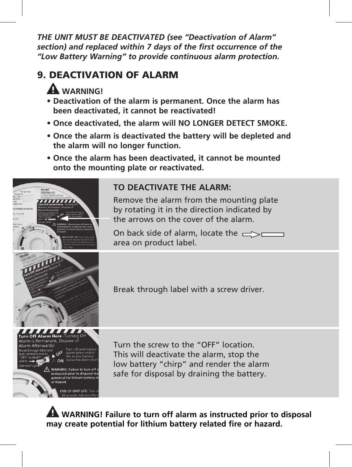*THE UNIT MUST BE DEACTIVATED (see "Deactivation of Alarm" section) and replaced within 7 days of the first occurrence of the "Low Battery Warning" to provide continuous alarm protection.*

# 9. DEACTIVATION OF ALARM

# **WARNING!**

- **Deactivation of the alarm is permanent. Once the alarm has been deactivated, it cannot be reactivated!**
- **Once deactivated, the alarm will NO LONGER DETECT SMOKE.**
- **Once the alarm is deactivated the battery will be depleted and the alarm will no longer function.**
- **Once the alarm has been deactivated, it cannot be mounted onto the mounting plate or reactivated.**



### **TO DEACTIVATE THE ALARM:**

Remove the alarm from the mounting plate by rotating it in the direction indicated by the arrows on the cover of the alarm.

On back side of alarm, locate the  $\Rightarrow$ area on product label.



Break through label with a screw driver.

Turn the screw to the "OFF" location. This will deactivate the alarm, stop the low battery "chirp" and render the alarm safe for disposal by draining the battery.

 **WARNING! Failure to turn off alarm as instructed prior to disposal may create potential for lithium battery related fire or hazard.**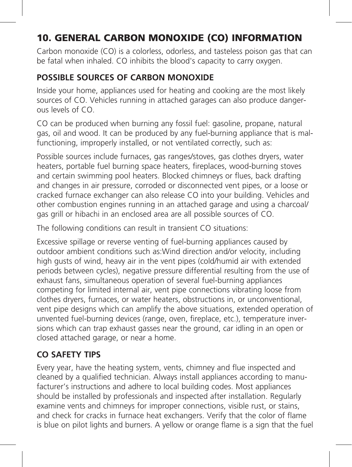# 10. GENERAL CARBON MONOXIDE (CO) INFORMATION

Carbon monoxide (CO) is a colorless, odorless, and tasteless poison gas that can be fatal when inhaled. CO inhibits the blood's capacity to carry oxygen.

### **POSSIBLE SOURCES OF CARBON MONOXIDE**

Inside your home, appliances used for heating and cooking are the most likely sources of CO. Vehicles running in attached garages can also produce dangerous levels of CO.

CO can be produced when burning any fossil fuel: gasoline, propane, natural gas, oil and wood. It can be produced by any fuel-burning appliance that is malfunctioning, improperly installed, or not ventilated correctly, such as:

Possible sources include furnaces, gas ranges/stoves, gas clothes dryers, water heaters, portable fuel burning space heaters, fireplaces, wood-burning stoves and certain swimming pool heaters. Blocked chimneys or flues, back drafting and changes in air pressure, corroded or disconnected vent pipes, or a loose or cracked furnace exchanger can also release CO into your building. Vehicles and other combustion engines running in an attached garage and using a charcoal/ gas grill or hibachi in an enclosed area are all possible sources of CO.

The following conditions can result in transient CO situations:

Excessive spillage or reverse venting of fuel-burning appliances caused by outdoor ambient conditions such as:Wind direction and/or velocity, including high gusts of wind, heavy air in the vent pipes (cold/humid air with extended periods between cycles), negative pressure differential resulting from the use of exhaust fans, simultaneous operation of several fuel-burning appliances competing for limited internal air, vent pipe connections vibrating loose from clothes dryers, furnaces, or water heaters, obstructions in, or unconventional, vent pipe designs which can amplify the above situations, extended operation of unvented fuel-burning devices (range, oven, fireplace, etc.), temperature inversions which can trap exhaust gasses near the ground, car idling in an open or closed attached garage, or near a home.

#### **CO SAFETY TIPS**

Every year, have the heating system, vents, chimney and flue inspected and cleaned by a qualified technician. Always install appliances according to manufacturer's instructions and adhere to local building codes. Most appliances should be installed by professionals and inspected after installation. Regularly examine vents and chimneys for improper connections, visible rust, or stains, and check for cracks in furnace heat exchangers. Verify that the color of flame is blue on pilot lights and burners. A yellow or orange flame is a sign that the fuel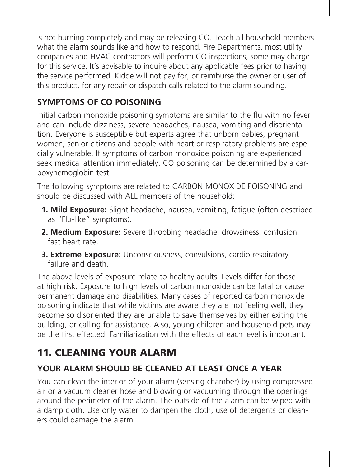is not burning completely and may be releasing CO. Teach all household members what the alarm sounds like and how to respond. Fire Departments, most utility companies and HVAC contractors will perform CO inspections, some may charge for this service. It's advisable to inquire about any applicable fees prior to having the service performed. Kidde will not pay for, or reimburse the owner or user of this product, for any repair or dispatch calls related to the alarm sounding.

## **SYMPTOMS OF CO POISONING**

Initial carbon monoxide poisoning symptoms are similar to the flu with no fever and can include dizziness, severe headaches, nausea, vomiting and disorientation. Everyone is susceptible but experts agree that unborn babies, pregnant women, senior citizens and people with heart or respiratory problems are especially vulnerable. If symptoms of carbon monoxide poisoning are experienced seek medical attention immediately. CO poisoning can be determined by a carboxyhemoglobin test.

The following symptoms are related to CARBON MONOXIDE POISONING and should be discussed with ALL members of the household:

- **1. Mild Exposure:** Slight headache, nausea, vomiting, fatigue (often described as "Flu-like" symptoms).
- **2. Medium Exposure:** Severe throbbing headache, drowsiness, confusion, fast heart rate.
- **3. Extreme Exposure:** Unconsciousness, convulsions, cardio respiratory failure and death.

The above levels of exposure relate to healthy adults. Levels differ for those at high risk. Exposure to high levels of carbon monoxide can be fatal or cause permanent damage and disabilities. Many cases of reported carbon monoxide poisoning indicate that while victims are aware they are not feeling well, they become so disoriented they are unable to save themselves by either exiting the building, or calling for assistance. Also, young children and household pets may be the first effected. Familiarization with the effects of each level is important.

# 11. CLEANING YOUR ALARM

### **YOUR ALARM SHOULD BE CLEANED AT LEAST ONCE A YEAR**

You can clean the interior of your alarm (sensing chamber) by using compressed air or a vacuum cleaner hose and blowing or vacuuming through the openings around the perimeter of the alarm. The outside of the alarm can be wiped with a damp cloth. Use only water to dampen the cloth, use of detergents or cleaners could damage the alarm.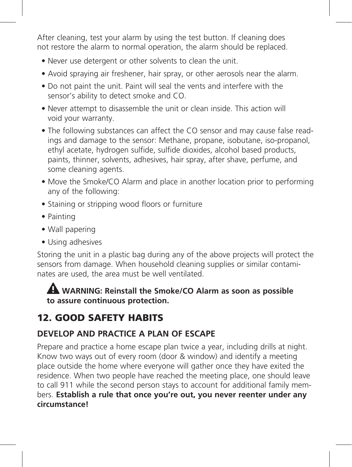After cleaning, test your alarm by using the test button. If cleaning does not restore the alarm to normal operation, the alarm should be replaced.

- Never use detergent or other solvents to clean the unit.
- Avoid spraying air freshener, hair spray, or other aerosols near the alarm.
- Do not paint the unit. Paint will seal the vents and interfere with the sensor's ability to detect smoke and CO.
- Never attempt to disassemble the unit or clean inside. This action will void your warranty.
- The following substances can affect the CO sensor and may cause false readings and damage to the sensor: Methane, propane, isobutane, iso-propanol, ethyl acetate, hydrogen sulfide, sulfide dioxides, alcohol based products, paints, thinner, solvents, adhesives, hair spray, after shave, perfume, and some cleaning agents.
- Move the Smoke/CO Alarm and place in another location prior to performing any of the following:
- Staining or stripping wood floors or furniture
- Painting
- Wall papering
- Using adhesives

Storing the unit in a plastic bag during any of the above projects will protect the sensors from damage. When household cleaning supplies or similar contaminates are used, the area must be well ventilated.

 **WARNING: Reinstall the Smoke/CO Alarm as soon as possible to assure continuous protection.**

# 12. GOOD SAFETY HABITS

### **DEVELOP AND PRACTICE A PLAN OF ESCAPE**

Prepare and practice a home escape plan twice a year, including drills at night. Know two ways out of every room (door & window) and identify a meeting place outside the home where everyone will gather once they have exited the residence. When two people have reached the meeting place, one should leave to call 911 while the second person stays to account for additional family members. **Establish a rule that once you're out, you never reenter under any circumstance!**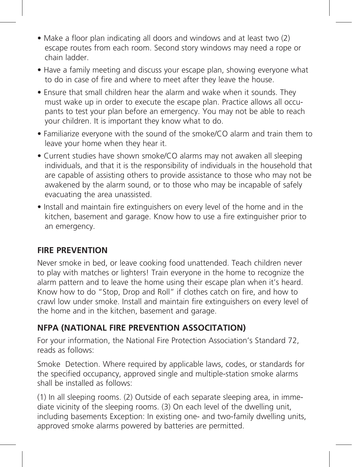- Make a floor plan indicating all doors and windows and at least two (2) escape routes from each room. Second story windows may need a rope or chain ladder.
- Have a family meeting and discuss your escape plan, showing everyone what to do in case of fire and where to meet after they leave the house.
- Ensure that small children hear the alarm and wake when it sounds. They must wake up in order to execute the escape plan. Practice allows all occupants to test your plan before an emergency. You may not be able to reach your children. It is important they know what to do.
- Familiarize everyone with the sound of the smoke/CO alarm and train them to leave your home when they hear it.
- Current studies have shown smoke/CO alarms may not awaken all sleeping individuals, and that it is the responsibility of individuals in the household that are capable of assisting others to provide assistance to those who may not be awakened by the alarm sound, or to those who may be incapable of safely evacuating the area unassisted.
- Install and maintain fire extinguishers on every level of the home and in the kitchen, basement and garage. Know how to use a fire extinguisher prior to an emergency.

#### **FIRE PREVENTION**

Never smoke in bed, or leave cooking food unattended. Teach children never to play with matches or lighters! Train everyone in the home to recognize the alarm pattern and to leave the home using their escape plan when it's heard. Know how to do "Stop, Drop and Roll" if clothes catch on fire, and how to crawl low under smoke. Install and maintain fire extinguishers on every level of the home and in the kitchen, basement and garage.

#### **NFPA (NATIONAL FIRE PREVENTION ASSOCITATION)**

For your information, the National Fire Protection Association's Standard 72, reads as follows:

Smoke Detection. Where required by applicable laws, codes, or standards for the specified occupancy, approved single and multiple-station smoke alarms shall be installed as follows:

(1) In all sleeping rooms. (2) Outside of each separate sleeping area, in immediate vicinity of the sleeping rooms. (3) On each level of the dwelling unit, including basements Exception: In existing one- and two-family dwelling units, approved smoke alarms powered by batteries are permitted.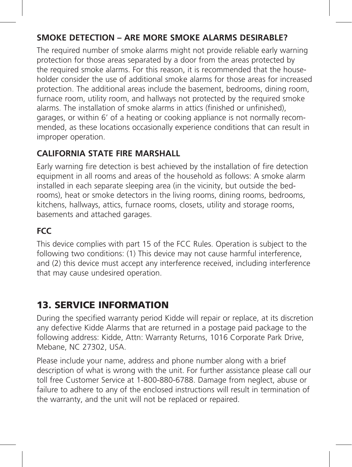#### **SMOKE DETECTION – ARE MORE SMOKE ALARMS DESIRABLE?**

The required number of smoke alarms might not provide reliable early warning protection for those areas separated by a door from the areas protected by the required smoke alarms. For this reason, it is recommended that the householder consider the use of additional smoke alarms for those areas for increased protection. The additional areas include the basement, bedrooms, dining room, furnace room, utility room, and hallways not protected by the required smoke alarms. The installation of smoke alarms in attics (finished or unfinished), garages, or within 6' of a heating or cooking appliance is not normally recommended, as these locations occasionally experience conditions that can result in improper operation.

#### **CALIFORNIA STATE FIRE MARSHALL**

Early warning fire detection is best achieved by the installation of fire detection equipment in all rooms and areas of the household as follows: A smoke alarm installed in each separate sleeping area (in the vicinity, but outside the bedrooms), heat or smoke detectors in the living rooms, dining rooms, bedrooms, kitchens, hallways, attics, furnace rooms, closets, utility and storage rooms, basements and attached garages.

### **FCC**

This device complies with part 15 of the FCC Rules. Operation is subject to the following two conditions: (1) This device may not cause harmful interference, and (2) this device must accept any interference received, including interference that may cause undesired operation.

# 13. SERVICE INFORMATION

During the specified warranty period Kidde will repair or replace, at its discretion any defective Kidde Alarms that are returned in a postage paid package to the following address: Kidde, Attn: Warranty Returns, 1016 Corporate Park Drive, Mebane, NC 27302, USA.

Please include your name, address and phone number along with a brief description of what is wrong with the unit. For further assistance please call our toll free Customer Service at 1-800-880-6788. Damage from neglect, abuse or failure to adhere to any of the enclosed instructions will result in termination of the warranty, and the unit will not be replaced or repaired.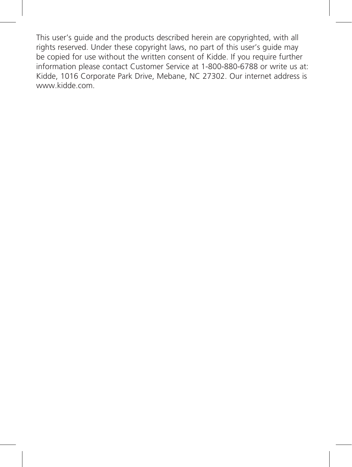This user's guide and the products described herein are copyrighted, with all rights reserved. Under these copyright laws, no part of this user's guide may be copied for use without the written consent of Kidde. If you require further information please contact Customer Service at 1-800-880-6788 or write us at: Kidde, 1016 Corporate Park Drive, Mebane, NC 27302. Our internet address is www.kidde.com.